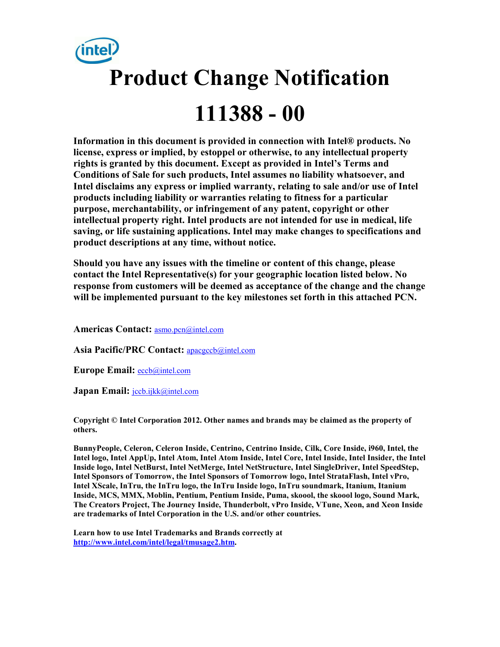

**Information in this document is provided in connection with Intel® products. No license, express or implied, by estoppel or otherwise, to any intellectual property rights is granted by this document. Except as provided in Intel's Terms and Conditions of Sale for such products, Intel assumes no liability whatsoever, and Intel disclaims any express or implied warranty, relating to sale and/or use of Intel products including liability or warranties relating to fitness for a particular purpose, merchantability, or infringement of any patent, copyright or other intellectual property right. Intel products are not intended for use in medical, life saving, or life sustaining applications. Intel may make changes to specifications and product descriptions at any time, without notice.** 

**Should you have any issues with the timeline or content of this change, please contact the Intel Representative(s) for your geographic location listed below. No response from customers will be deemed as acceptance of the change and the change will be implemented pursuant to the key milestones set forth in this attached PCN.** 

**Americas Contact:** asmo.pcn@intel.com

**Asia Pacific/PRC Contact:** apacgccb@intel.com

**Europe Email:** eccb@intel.com

Japan Email: **jccb.ijkk@intel.com** 

**Copyright © Intel Corporation 2012. Other names and brands may be claimed as the property of others.**

**BunnyPeople, Celeron, Celeron Inside, Centrino, Centrino Inside, Cilk, Core Inside, i960, Intel, the Intel logo, Intel AppUp, Intel Atom, Intel Atom Inside, Intel Core, Intel Inside, Intel Insider, the Intel Inside logo, Intel NetBurst, Intel NetMerge, Intel NetStructure, Intel SingleDriver, Intel SpeedStep, Intel Sponsors of Tomorrow, the Intel Sponsors of Tomorrow logo, Intel StrataFlash, Intel vPro, Intel XScale, InTru, the InTru logo, the InTru Inside logo, InTru soundmark, Itanium, Itanium Inside, MCS, MMX, Moblin, Pentium, Pentium Inside, Puma, skoool, the skoool logo, Sound Mark, The Creators Project, The Journey Inside, Thunderbolt, vPro Inside, VTune, Xeon, and Xeon Inside are trademarks of Intel Corporation in the U.S. and/or other countries.** 

**Learn how to use Intel Trademarks and Brands correctly at http://www.intel.com/intel/legal/tmusage2.htm.**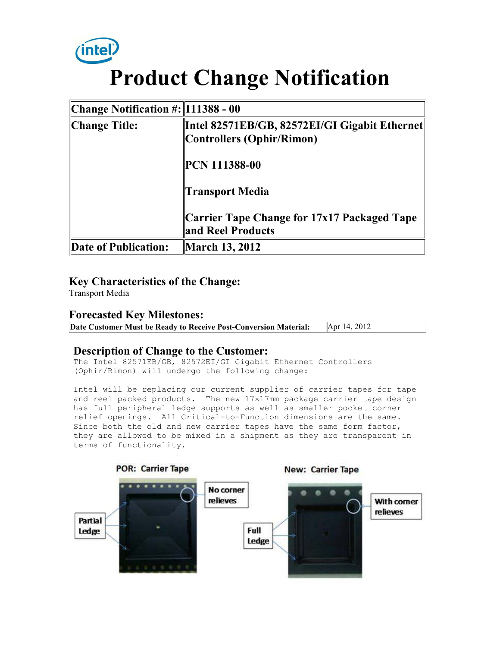

# **Product Change Notification**

| Change Notification $\#$ : 111388 - 00 |                                                                            |
|----------------------------------------|----------------------------------------------------------------------------|
| Change Title:                          | Intel 82571EB/GB, 82572EI/GI Gigabit Ethernet<br>Controllers (Ophir/Rimon) |
|                                        | <b>PCN 111388-00</b>                                                       |
|                                        | <b>Transport Media</b>                                                     |
|                                        | Carrier Tape Change for 17x17 Packaged Tape<br>and Reel Products           |
| Date of Publication:                   | March 13, 2012                                                             |

### **Key Characteristics of the Change:**

Transport Media

#### **Forecasted Key Milestones:**

**Date Customer Must be Ready to Receive Post-Conversion Material:** Apr 14, 2012

#### **Description of Change to the Customer:**

The Intel 82571EB/GB, 82572EI/GI Gigabit Ethernet Controllers (Ophir/Rimon) will undergo the following change:

Intel will be replacing our current supplier of carrier tapes for tape and reel packed products. The new 17x17mm package carrier tape design has full peripheral ledge supports as well as smaller pocket corner relief openings. All Critical-to-Function dimensions are the same. Since both the old and new carrier tapes have the same form factor, they are allowed to be mixed in a shipment as they are transparent in terms of functionality.